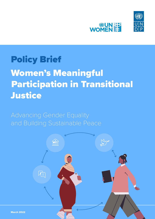



## Policy Brief

# Women's Meaningful Participation in Transitional **Justice**

## Advancing Gender Equality and Building Sustainable Peace

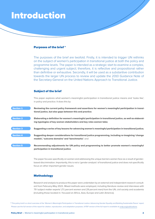## Introduction

### Purposes of the brief \*

The purposes of the brief are twofold. Firstly, it is intended to trigger UN rethinks on the subject of women's participation in transitional justice at both the policy and programme levels. The paper is intended as a strategic start to examine a complex, challenging and urgent subject; therefore, it is reflective and propositional rather than definitive or exhaustive. Secondly, it will be used as a substantive contribution towards the larger UN process to review and update the 2010 Guidance Note of the Secretary-General on the United Nations Approach to Transitional Justice.

### Subject of the brief

This paper explores what women's meaningful participation in transitional justice means and 'looks like', in policy and practice. It does this by:

| <b>Section 1</b> | Reviewing the current policy framework and assertions for women's meaningful participation in transi-<br>tional justice, but also gaps between this and practice;                 |
|------------------|-----------------------------------------------------------------------------------------------------------------------------------------------------------------------------------|
| <b>Section 2</b> | Elaborating a definition for women's meaningful participation in transitional justice, as well as elaborat-<br>ing typologies of key women stakeholders and key roles women take; |
| <b>Section 3</b> | Suggesting a series of key lessons for advancing women's meaningful participation in transitional justice;                                                                        |
| <b>Section 4</b> | Suggesting deeper considerations for transitional justice programming, including re-imagining 'change<br>models', 'outcome domains' and 'benchmarks'; and                         |
| <b>Section 5</b> | Recommending adjustments for UN policy and programming to better promote women's meaningful<br>participation in transitional justice.                                             |

The paper focuses specifically on women and addressing the unique barriers women face as a result of genderbased discrimination. Importantly, this is not a 'gender analysis' of transitional justice and does not specifically focus on other important gender issues.

### **Methodology**

Research and analysis to produce this paper were undertaken by an external and independent research consultant from February-May 2021. Mixed methods were employed, including literature review and interviews with 79 'subject matter experts' (71 percent women and 29 percent men) from the UN, civil society and academia (including those located in / focused on Africa, Asia, Europe and Latin America).

\* This policy brief is a short overview of the 'Women's Meaningful Participation in Transitional Justice: Advancing Gender Equality and Building Sustainable Peace' report. Please use the full version of the report for citation, reproduction, and adaptation purposes. A PDF version of the full report is available at [undp.org/publications.](http://undp.org/publications.)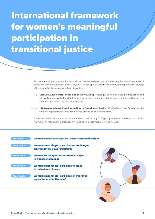International framework for women's meaningful participation in transitional justice

> Women's meaningful participation in transitional justice has been an established requirement of international peace and security responses for over 20 years. The principle of women's meaningful participation in all aspects of transitional justice is particularly reinforced in:

 UNSCR 1325: women, peace and security (2000)—first requires women's equal participation and full involvement in all efforts for the maintenance and promotion of peace and security, and the need to increase their role in decision-making; and

 UN Secretary General's Guidance Note on Transitional Justice (2010)—Principle 4: Strive to ensure women's rights through transitional justice processes and mechanisms.

Embedded within the international Women, Peace and Security (WPS) policy framework are key assertions for why women's meaningful participation in transitional justice matters. These include:

## Women's equal participation is a basic normative right Women's meaningful participation challenges discriminatory power structures Women are an agent rather than an object in transitional justice Women's meaningful participation leads to inclusion writ large Women's meaningful participation improves 'operational effectiveness' **Assertion 1** Assertion 2 Assertion 3 Assertion 4 Assertion 5

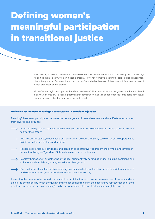# Defining women's meaningful participation in transitional justice

The 'quantity' of women at all levels and in all elements of transitional justice is a necessary part of meaningful participation—clearly, women must be present. However, women's meaningful participation is not simply about the *quantity* of women, but about the *quality* and *effectiveness* of their role *to influence* transitional justice processes and outcomes.

Women's meaningful participation, therefore, needs a definition beyond the number game. How this is achieved in any given context will depend greatly on that context; however, this paper proposes some basic conceptual anchors to ensure that the concept is not mistreated:

### Definition for women's meaningful participation in transitional justice:

Meaningful women's participation involves the convergence of several elements and manifests when women from diverse backgrounds:

- Have the ability to enter settings, mechanisms and positions of power freely and unhindered and without fear for their safety;
- $\rightarrow$  Are present in settings, mechanisms and positions of power so that they can directly seize opportunities to inform, influence and make decisions;
- $\rightarrow$  Possess self-efficacy, knowledge and confidence to effectively represent their whole and diverse intersectional range of 'gendered' interests, values and experiences;
- $\rightarrow$  Deploy their agency by gathering evidence, substantively setting agendas, building coalitions and collaboratively mobilising strategies to impel change; and
- $\rightarrow$  Exert influence that alters decision-making outcomes to better reflect diverse women's interests, values and experiences and, therefore, also those of the wider society.

Increasing the numbers (i.e. numeric or descriptive participation) of a diverse cross-section of women and enabling the conditions by which the quality and impact of their roles (i.e. the substantive representation of their gendered interests in decision-making) can be deepened are vital twin-tracks of meaningful inclusion.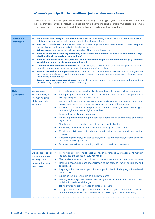## Women's participation in transitional justice takes many forms

The table below constructs a practical framework for thinking through typologies of women stakeholders and the roles they take in transitional justice. These are not exclusive and can be complex/hybridized (e.g. female perpetrators coerced into committing violations or is also a survivor-victim of violations).

| <b>Stakeholder</b><br><b>Typologies</b> | ٠<br>٠<br>→<br>→<br>→<br>÷<br>→<br>→              | Survivor-victims of large-scale past abuses - who experience legacies of harm, traumas, threats to their<br>safety and marginalization both during and after the abuses suffered<br>Relatives of survivor-victims - who experience different legacies of loss, trauma, threats to their safety and<br>marginalization both during and after the abuses suffered<br><b>Witnesses</b> – who experience their own legacies of trauma and insecurity<br>Women's survivor-victims organizations, associations and networks, as well as allied women's orga-<br>nizations (local, national and international)<br>Women leaders of allied local, national and international organizations/movements (e.g. for survi-<br>vor-victims, human rights, women's rights, etc.)<br>Catalytic and emblematic 'advocates'-from political, legal, human rights, peacebuilding cultural, scientif-<br>ic, trades, professional, business, religious, traditional and other realms<br>Women from wider society-allied stakeholders who did not experience the direct effects of large-scale<br>past abuses, but ultimately live the indirect social, economic and political consequences of the past (includ-<br>ing the risks of recurrence)<br><b>Women bystanders and perpetrators</b> —potentially including former female combatants and/or members<br>of the security sector (whether state or non-state) |                                                                                                                                                                                                                           |  |  |  |
|-----------------------------------------|---------------------------------------------------|----------------------------------------------------------------------------------------------------------------------------------------------------------------------------------------------------------------------------------------------------------------------------------------------------------------------------------------------------------------------------------------------------------------------------------------------------------------------------------------------------------------------------------------------------------------------------------------------------------------------------------------------------------------------------------------------------------------------------------------------------------------------------------------------------------------------------------------------------------------------------------------------------------------------------------------------------------------------------------------------------------------------------------------------------------------------------------------------------------------------------------------------------------------------------------------------------------------------------------------------------------------------------------------------------------------------------------------------------------------------------------------------|---------------------------------------------------------------------------------------------------------------------------------------------------------------------------------------------------------------------------|--|--|--|
|                                         |                                                   |                                                                                                                                                                                                                                                                                                                                                                                                                                                                                                                                                                                                                                                                                                                                                                                                                                                                                                                                                                                                                                                                                                                                                                                                                                                                                                                                                                                              |                                                                                                                                                                                                                           |  |  |  |
| <b>Role</b><br><b>Typologies</b>        | As agents of<br>accountability -<br>women holding | ٠<br>۰                                                                                                                                                                                                                                                                                                                                                                                                                                                                                                                                                                                                                                                                                                                                                                                                                                                                                                                                                                                                                                                                                                                                                                                                                                                                                                                                                                                       | Demanding and using transitional justice rights and 'benefits', such as reparations<br>Participating in and influencing public consultations, such as in the design of transi-<br>tional justice processes and mechanisms |  |  |  |
|                                         | duty-bearers to<br>account:                       | ÷                                                                                                                                                                                                                                                                                                                                                                                                                                                                                                                                                                                                                                                                                                                                                                                                                                                                                                                                                                                                                                                                                                                                                                                                                                                                                                                                                                                            | Seeking truth, filing criminal cases and testifying (including, for example, women jour-<br>nalists reporting on past human rights abuses as a form of truth-telling)                                                     |  |  |  |
|                                         |                                                   | ٠                                                                                                                                                                                                                                                                                                                                                                                                                                                                                                                                                                                                                                                                                                                                                                                                                                                                                                                                                                                                                                                                                                                                                                                                                                                                                                                                                                                            | Monitoring transitional justice processes and mechanisms, as well as working as<br>women's rights and human rights defenders                                                                                              |  |  |  |
|                                         |                                                   | →                                                                                                                                                                                                                                                                                                                                                                                                                                                                                                                                                                                                                                                                                                                                                                                                                                                                                                                                                                                                                                                                                                                                                                                                                                                                                                                                                                                            | Initiating legal challenges and reforms                                                                                                                                                                                   |  |  |  |
|                                         |                                                   | →                                                                                                                                                                                                                                                                                                                                                                                                                                                                                                                                                                                                                                                                                                                                                                                                                                                                                                                                                                                                                                                                                                                                                                                                                                                                                                                                                                                            | Mobilizing and representing the collective demands of communities and social<br>organizations                                                                                                                             |  |  |  |
|                                         |                                                   | →                                                                                                                                                                                                                                                                                                                                                                                                                                                                                                                                                                                                                                                                                                                                                                                                                                                                                                                                                                                                                                                                                                                                                                                                                                                                                                                                                                                            | Standing for elected positions and other direct political action                                                                                                                                                          |  |  |  |
|                                         |                                                   | →                                                                                                                                                                                                                                                                                                                                                                                                                                                                                                                                                                                                                                                                                                                                                                                                                                                                                                                                                                                                                                                                                                                                                                                                                                                                                                                                                                                            | Facilitating survivor-victim outreach and advocating with government                                                                                                                                                      |  |  |  |
|                                         |                                                   | →                                                                                                                                                                                                                                                                                                                                                                                                                                                                                                                                                                                                                                                                                                                                                                                                                                                                                                                                                                                                                                                                                                                                                                                                                                                                                                                                                                                            | Mobilizing public feedback, information, education, advocacy and 'mass action'<br>campaigns                                                                                                                               |  |  |  |
|                                         |                                                   | →                                                                                                                                                                                                                                                                                                                                                                                                                                                                                                                                                                                                                                                                                                                                                                                                                                                                                                                                                                                                                                                                                                                                                                                                                                                                                                                                                                                            | Researching and analysing case studies, thematics and practices, building and shar-<br>ing expert knowledge bases                                                                                                         |  |  |  |
|                                         |                                                   | →                                                                                                                                                                                                                                                                                                                                                                                                                                                                                                                                                                                                                                                                                                                                                                                                                                                                                                                                                                                                                                                                                                                                                                                                                                                                                                                                                                                            | Documenting, evidence gathering and local truth seeking of violations                                                                                                                                                     |  |  |  |
|                                         | As agents of social<br>change – women             | $\rightarrow$                                                                                                                                                                                                                                                                                                                                                                                                                                                                                                                                                                                                                                                                                                                                                                                                                                                                                                                                                                                                                                                                                                                                                                                                                                                                                                                                                                                | Providing networking, relief, legal aid, health, psychosocial, protection and monitor-<br>ing services and spaces for survivor-victims                                                                                    |  |  |  |
|                                         | actively trans-                                   | →                                                                                                                                                                                                                                                                                                                                                                                                                                                                                                                                                                                                                                                                                                                                                                                                                                                                                                                                                                                                                                                                                                                                                                                                                                                                                                                                                                                            | Memorialising, especially through appropriate local, gendered and traditional practices                                                                                                                                   |  |  |  |
|                                         | forming the social<br>discourse:                  | ÷                                                                                                                                                                                                                                                                                                                                                                                                                                                                                                                                                                                                                                                                                                                                                                                                                                                                                                                                                                                                                                                                                                                                                                                                                                                                                                                                                                                            | Healing, peacebuilding and reconciliation, at the personal, family, community and<br>social levels                                                                                                                        |  |  |  |
|                                         |                                                   | →                                                                                                                                                                                                                                                                                                                                                                                                                                                                                                                                                                                                                                                                                                                                                                                                                                                                                                                                                                                                                                                                                                                                                                                                                                                                                                                                                                                            | Inspiring other women to participate in public life, including in justice-related<br>professions                                                                                                                          |  |  |  |
|                                         |                                                   | →                                                                                                                                                                                                                                                                                                                                                                                                                                                                                                                                                                                                                                                                                                                                                                                                                                                                                                                                                                                                                                                                                                                                                                                                                                                                                                                                                                                            | Educating the public and raising public awareness                                                                                                                                                                         |  |  |  |
|                                         |                                                   | →                                                                                                                                                                                                                                                                                                                                                                                                                                                                                                                                                                                                                                                                                                                                                                                                                                                                                                                                                                                                                                                                                                                                                                                                                                                                                                                                                                                            | Leading and catalysing women's networking/mobilization and 'mass action' public<br>mobilization to demand change                                                                                                          |  |  |  |
|                                         |                                                   | →                                                                                                                                                                                                                                                                                                                                                                                                                                                                                                                                                                                                                                                                                                                                                                                                                                                                                                                                                                                                                                                                                                                                                                                                                                                                                                                                                                                            | Taking over as household heads and income earners                                                                                                                                                                         |  |  |  |
|                                         |                                                   | ÷                                                                                                                                                                                                                                                                                                                                                                                                                                                                                                                                                                                                                                                                                                                                                                                                                                                                                                                                                                                                                                                                                                                                                                                                                                                                                                                                                                                            | Acting as unacknowledged private/domestic social agents, as mothers, spouses,<br>carers, memory-keepers, faith leaders, etc. in the family and in the community                                                           |  |  |  |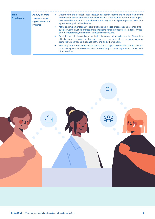| <b>Role</b><br><b>Typologies</b> | As duty-bearers<br>- women shap-<br>ing structures and<br>systems: | $\rightarrow$ | Determining the political, legal, institutional, administrative and financial framework<br>for transition justice processes and mechanisms—such as duty-bearers in the legisla-<br>tive, executive and judicial branches of state, negotiators of peace/political transition<br>agreements, political leaders, etc. |  |  |  |  |
|----------------------------------|--------------------------------------------------------------------|---------------|---------------------------------------------------------------------------------------------------------------------------------------------------------------------------------------------------------------------------------------------------------------------------------------------------------------------|--|--|--|--|
|                                  |                                                                    | $\rightarrow$ | Managing implementation of specific transitional justice processes and mechanisms—<br>such as women justice professionals, including female prosecutors, judges, investi-<br>gators, interpreters, members of truth commissions, etc.                                                                               |  |  |  |  |
|                                  |                                                                    | $\rightarrow$ | Providing technical expertise to the design, implementation and oversight of transition-<br>al justice processes and mechanisms-such as gender, legal, psychosocial, witness<br>protection, reparations, evidence gathering and other experts                                                                       |  |  |  |  |
|                                  |                                                                    | $\rightarrow$ | Providing formal transitional justice services and support to survivors-victims, descen-<br>dants/family and witnesses-such as the delivery of relief, reparations, health and<br>other services                                                                                                                    |  |  |  |  |

**..........** 

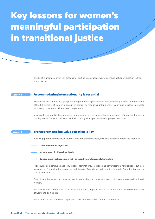## Key lessons for women's meaningful participation in transitional justice

The brief highlights eleven key lessons for putting into practice women's meaningful participation in transitional justice:

#### Lesson 1

### Accommodating intersectionality is essential

Women are not a monolithic group. Meaningful women's participation must inherently include representation of the full diversity of women in any given context by recognising that gender is only one axis that intersects with many other forms of identity and experience.

Inclusive transitional justice processes and mechanisms recognise that different axes of identity intersect to amplify women's vulnerability and exclusion through multiple and overlapping oppressions.

#### Transparent and inclusive selection is key Lesson 2

Involving greater complexity, resources, time and thoughtfulness, inclusive selection processes should be:





Include specific diversity criteria

#### Carried out in collaboration with or even by constituent stakeholders

Procedures could include public invitations, nominations, elections and advertisement for positions, but also 'open-access' participation measures and the use of gender equality quotas, 'sampling' or other temporary special measures.

Specific requirements could ensure certain leadership and representation positions are reserved for (local) women.

More expansive and non-hierarchical violation/harm categories will accommodate and promote the interest of women to participate.

Place more emphasis on lived experience and 'representative' criteria/competencies.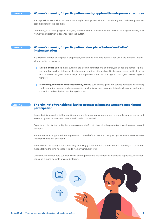#### Lesson 3

## Women's meaningful participation must grapple with male power structures

It is impossible to consider women's meaningful participation without considering men and male power as essential parts of the equation.

Unmasking, acknowledging and analysing male dominated power structures and the resulting barriers against women's participation is essential from the outset.

#### Lesson 4

## Women's meaningful participation takes place 'before' and 'after' implementation

It is vital that women participate in preparatory/design and follow-up aspects, not just in the 'conduct' of transitional justice processes.

**Design phase** participation, such as: pre-design consultations and analysis; peace agreement / political negotiations that determine the shape and priorities of transitional justice processes; political, policy and technical design of transitional justice implementation; the drafting and passage of related legislation; etc.

Monitoring, evaluation and accountability phases, such as: designing and setting indicators/milestones; implementation tracking and accountability mechanisms; post-implementation tracking and evaluation; collection and analysis of monitoring data; etc.

#### The 'timing' of transitional justice processes impacts women's meaningful participation Lesson 5

Delay diminishes potential for significant gender transformative outcomes—erasure becomes easier and violence against women continues even if conflict has ended.

Expect and plan for the reality that discussions and efforts to deal with the past often take place over several decades.

In the meantime, support efforts to preserve a record of the past and mitigate against evidence or witness testimony being lost or eroded.

Time may be necessary for progressively enabling greater women's participation—'meaningful' sometimes means taking the time necessary to do women's inclusion well.

Over time, women leaders, survivor-victims and organizations are compelled to develop capacities, build coalitions and expand pockets of vested interest.

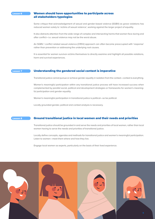#### Lesson 6

## Women should have opportunities to participate across all stakeholders typologies

Some critique that acknowledgement of sexual and gender-based violence (SGBV) as grave violations has reduced women solely to 'victims of sexual violence', working against the larger project of equality.

It also distracts attention from the wide range of complex and intersecting harms that women face during and after conflict—i.e. sexual violence may not be the worst abuse.

An SGBV / conflict related sexual violence (CRSV) approach can often become preoccupied with 'response' rather than prevention or addressing the underlying root causes.

It is essential for women survivor-victims themselves to directly examine and highlight all possible violations, harm and survival experiences.

Lesson 7

### Understanding the gendered social context is imperative

Transitional justice cannot pursue or achieve gender equality in isolation from the context—context is everything.

Women's meaningful participation within any transitional justice process will have increased success when complemented by parallel social, political and development strategies or frameworks for women's meaningful participation and gender equality.

Women's meaningful participation in transitional justice is political—so be political.

Locally grounded gender, political and context analysis is necessary.

#### Ground transitional justice in local women and their needs and priorities Lesson 8

Transitional justice should be grounded in and serve the needs and priorities of local women, rather than local women having to serve the needs and priorities of transitional justice.

Locally define concepts, agendas and methods for transitional justice and women's meaningful participation. Listen to women—meet them where and how they live.

Engage local women as experts, particularly on the basis of their lived experience.

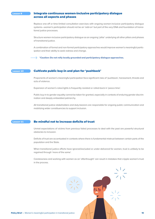#### Lesson 9

## Integrate continuous women-inclusive participatory dialogue across all aspects and phases

Replace one-off or time-limited consultation exercises with ongoing women-inclusive participatory dialogue systems—women's participation should not be an 'add-on' but part of the very DNA and foundation of transitional justice processes.

Structure women-inclusive participatory dialogue as an ongoing 'pillar' underlying all other pillars and phases of transitional justice.

A combination of formal and non-formal participatory approaches would improve women's meaningful participation and their ability to seek redress and change.

\*Caution: Do not reify locally grounded and participatory dialogue approaches.

#### Cultivate public buy-in and plan for 'pushback' Lesson 10

Proponents of women's meaningful participation face significant risks of 'pushback', harassment, threats and acts of violence.

Expansion of women's roles/rights is frequently resisted or rolled-back in 'peace time'.

Public buy-in to gender equality cannot be taken for granted, especially in contexts of enduring gender discrimination and deeply embedded patriarchy.

All transitional justice stakeholders and duty-bearers are responsible for ongoing public communication and mobilizing wider constituencies to support inclusion.

#### Lesson 11

## Be mindful not to increase deficits of trust

Unmet expectations of victims from previous failed processes to deal with the past are powerful structural obstacles to inclusion.

Deficits of trust are accentuated in contexts where there is fundamental mistrust between certain parts of the population and the State.

When transitional justice efforts have ignored/excluded or under-delivered for women, trust is unlikely to be regained through 'more of the same'.

Carelessness and working with women as an 'afterthought' can result in mistakes that cripple women's trust in the process.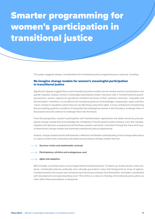## Smarter programming for women's participation in transitional justice

This paper suggests deeper considerations for transitional justice programming are required, including:

## Re-imagine change models for women's meaningful participation in transitional justice

Significant critiques suggest that current transitional justice models cannot resolve women's participation and gender equality. Instead, women's meaningful participation better intersects with a 'transformational justice' perspective: women experience gendered violations because of their systemic exclusion, inequality and discrimination—therefore, it is insufficient for transitional justice to acknowledge, compensate, repair and then 'return' women to situations where they do not effectively enjoy their rights. It must contribute to transforming the pre-existing systemic conditions of inequality that endangered women in the first place, endanger them in the present and will continue to endanger them into the future.

From this perspective, women's participation and 'transformative' approaches are better served by processbased change models that acknowledge the complexity of social systems (which behave more like complex, adaptive and dynamic ecosystems) and that these systems cannot be 'controlled' through the linear and causal-determinist change models that dominate transitional justice programming.

Instead, change models should shift towards a reflective and flexible understanding of how change takes place in a given context and community and adopt process-based change models that are:

Survivor-victim and stakeholder centred;



#### Agile and adaptive.

More broadly, a renewed vision is encouraged where transitional justice "is bottom-up, locally owned, victim-centered, contextually tailored, politically and culturally grounded in ways that foreground an array of options, oriented towards root causes and a broad array of structures of power and domination, and better coordinated with development and peacebuilding work." Part of this is a return to thinking of transitional justice pillars as tools rather than prescriptions or blueprints.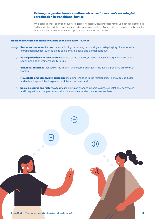## Re-imagine gender transformation outcomes for women's meaningful participation in transitional justice

While certain gender parity and equality targets are necessary, 'counting' does not tell us much about outcomes and impacts. Instead, this paper suggests richer conceptualisations of what could be considered valid 'gender transformation' outcomes for women's participation in transitional justice:

### Additional outcome domains should be seen as relevant—such as:

- $\rightarrow$  **Processes outcomes** focused on establishing, promoting, monitoring and adapting key characteristics of transitional justice, such as being sufficiently inclusive and gender sensitive;
- → Participation itself as an outcome because participation is, in itself, an act of recognition and sends a social meaning of women's ability to rule;
	- $\rightarrow$  Individual outcomes focused on the internal and external changes in the lived experience of individual women;
- Household and community outcomes including changes in the relationships, behaviour, attitudes, understandings and lived experience at the social level; and
	- $\rightarrow$  Social discourse and history outcomes focusing on changes in social values, expectations, behaviours and imagination about gender equality, but also ways in which society remembers.

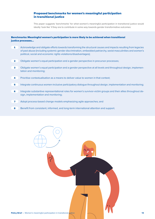## Proposed benchmarks for women's meaningful participation in transitional justice

This paper suggests 'benchmarks' for what women's meaningful participation in transitional justice would ideally 'look like' if they are to contribute in some way towards gender transformative outcomes:

## Benchmarks: Meaningful women's participation is more likely to be achieved when transitional justice processes…

- Acknowledge and obligate efforts towards transforming the structural causes and impacts resulting from legacies of past abuse (including systemic gender discrimination, embedded patriarchy, sexist masculinities and women's political, social and economic rights violations/disadvantages);  $\blacktriangle$
- Obligate women's equal participation and a gender perspective in precursor processes; 2
- Obligate women's equal participation and a gender perspective at all levels and throughout design, implementation and monitoring; 3
- Prioritise contextualisation as a means to deliver value to women in that context; 4
- Integrate continuous women-inclusive participatory dialogue throughout design, implementation and monitoring; 5
- Integrate substantive representational roles for women's survivor-victim groups and their allies throughout design, implementation and monitoring; 6
- Adopt process-based change models emphasizing agile approaches; and 7
- Benefit from consistent, informed, and long-term international attention and support. 8

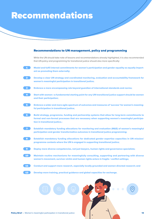## Recommendations